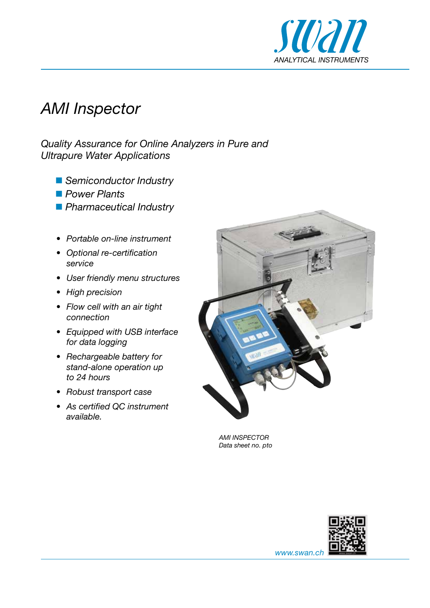

# *AMI Inspector*

*Quality Assurance for Online Analyzers in Pure and Ultrapure Water Applications*

- *Semiconductor Industry*
- *Power Plants*
- *Pharmaceutical Industry*
- *• Portable on-line instrument*
- *• Optional re-certification service*
- *• User friendly menu structures*
- *• High precision*
- *• Flow cell with an air tight connection*
- *• Equipped with USB interface for data logging*
- *• Rechargeable battery for stand-alone operation up to 24 hours*
- *• Robust transport case*
- *• As certified QC instrument available.*



*AMI INSPECTOR Data sheet no. pto*